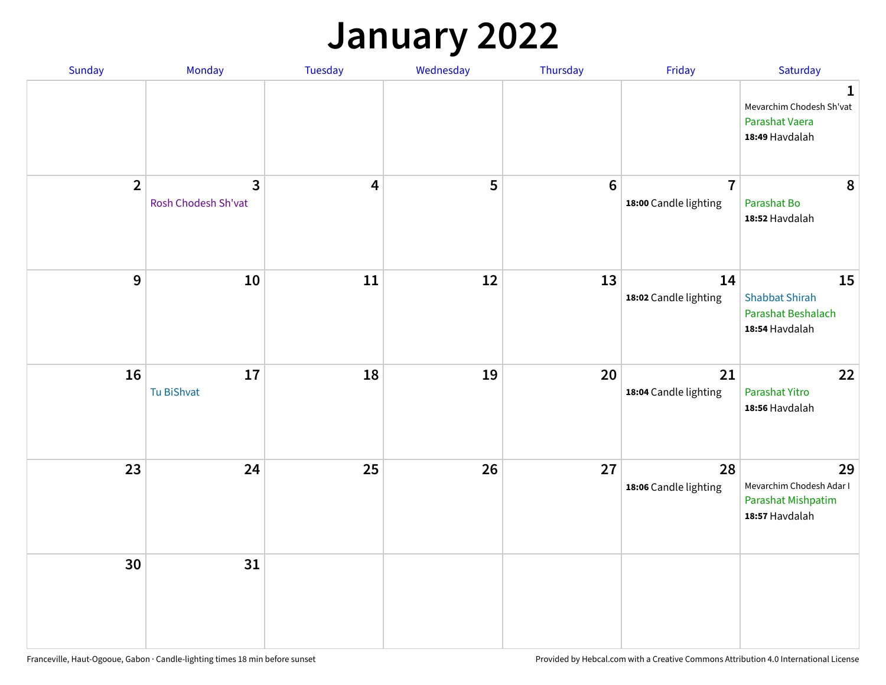### **January 2022**

| Sunday         | Monday                              | Tuesday                 | Wednesday | Thursday | Friday                                  | Saturday                                                                    |
|----------------|-------------------------------------|-------------------------|-----------|----------|-----------------------------------------|-----------------------------------------------------------------------------|
|                |                                     |                         |           |          |                                         | $\mathbf 1$<br>Mevarchim Chodesh Sh'vat<br>Parashat Vaera<br>18:49 Havdalah |
| $\overline{2}$ | $\mathbf{3}$<br>Rosh Chodesh Sh'vat | $\overline{\mathbf{4}}$ | 5         | $6\,$    | $\overline{7}$<br>18:00 Candle lighting | 8<br>Parashat Bo<br>18:52 Havdalah                                          |
| $\mathbf{9}$   | 10                                  | $11\,$                  | 12        | 13       | 14<br>18:02 Candle lighting             | 15<br><b>Shabbat Shirah</b><br>Parashat Beshalach<br>18:54 Havdalah         |
| 16             | 17<br>Tu BiShvat                    | 18                      | 19        | 20       | 21<br>18:04 Candle lighting             | 22<br>Parashat Yitro<br>18:56 Havdalah                                      |
| 23             | 24                                  | 25                      | 26        | 27       | 28<br>18:06 Candle lighting             | 29<br>Mevarchim Chodesh Adar I<br>Parashat Mishpatim<br>18:57 Havdalah      |
| 30             | 31                                  |                         |           |          |                                         |                                                                             |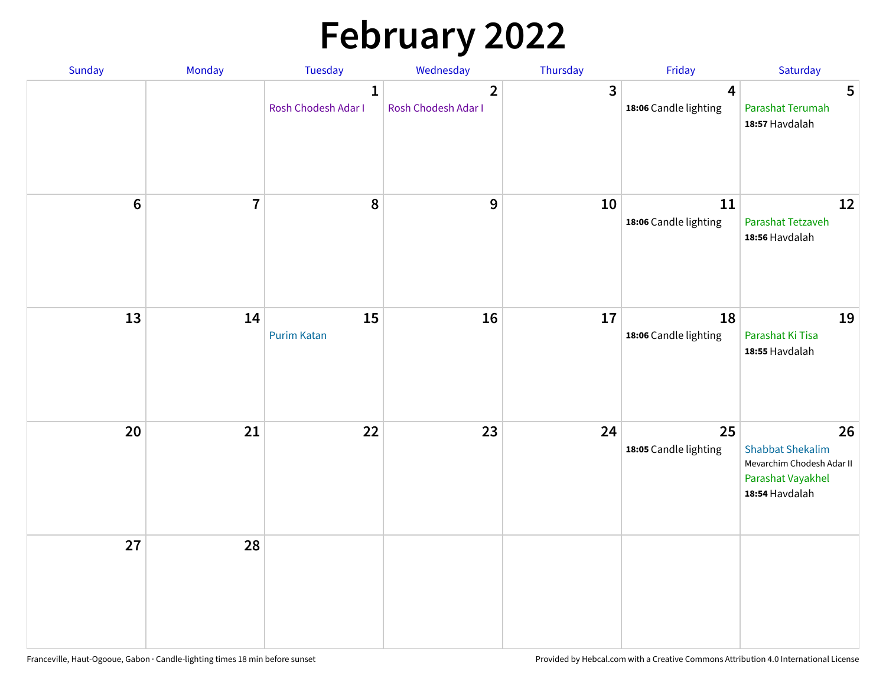# **February 2022**

| Sunday | Monday         | <b>Tuesday</b>                      | Wednesday                             | Thursday | Friday                                           | Saturday                                                                                          |
|--------|----------------|-------------------------------------|---------------------------------------|----------|--------------------------------------------------|---------------------------------------------------------------------------------------------------|
|        |                | $\mathbf{1}$<br>Rosh Chodesh Adar I | $\overline{2}$<br>Rosh Chodesh Adar I | 3        | $\overline{\mathbf{4}}$<br>18:06 Candle lighting | 5<br>Parashat Terumah<br>18:57 Havdalah                                                           |
| $6\,$  | $\overline{7}$ | 8                                   | 9                                     | 10       | 11<br>18:06 Candle lighting                      | 12<br>Parashat Tetzaveh<br>18:56 Havdalah                                                         |
| 13     | 14             | 15<br><b>Purim Katan</b>            | 16                                    | 17       | 18<br>18:06 Candle lighting                      | 19<br>Parashat Ki Tisa<br>18:55 Havdalah                                                          |
| 20     | 21             | 22                                  | 23                                    | 24       | 25<br>18:05 Candle lighting                      | 26<br><b>Shabbat Shekalim</b><br>Mevarchim Chodesh Adar II<br>Parashat Vayakhel<br>18:54 Havdalah |
| 27     | 28             |                                     |                                       |          |                                                  |                                                                                                   |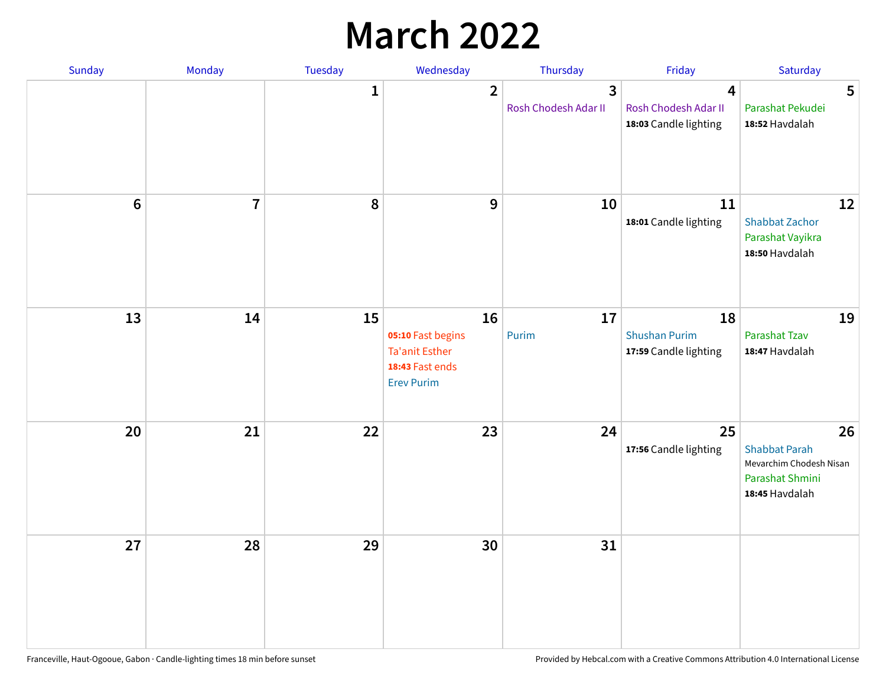## **March 2022**

| Sunday         | Monday         | Tuesday      | Wednesday                                                                                | Thursday                  | Friday                                              | Saturday                                                                                   |
|----------------|----------------|--------------|------------------------------------------------------------------------------------------|---------------------------|-----------------------------------------------------|--------------------------------------------------------------------------------------------|
|                |                | $\mathbf{1}$ | $\overline{2}$                                                                           | 3<br>Rosh Chodesh Adar II | 4<br>Rosh Chodesh Adar II<br>18:03 Candle lighting  | 5<br>Parashat Pekudei<br>18:52 Havdalah                                                    |
| $6\phantom{1}$ | $\overline{7}$ | 8            | $9$                                                                                      | 10                        | 11<br>18:01 Candle lighting                         | 12<br><b>Shabbat Zachor</b><br>Parashat Vayikra<br>18:50 Havdalah                          |
| 13             | 14             | 15           | 16<br>05:10 Fast begins<br><b>Ta'anit Esther</b><br>18:43 Fast ends<br><b>Erev Purim</b> | 17<br>Purim               | 18<br><b>Shushan Purim</b><br>17:59 Candle lighting | 19<br>Parashat Tzav<br>18:47 Havdalah                                                      |
| 20             | 21             | 22           | 23                                                                                       | 24                        | 25<br>17:56 Candle lighting                         | 26<br><b>Shabbat Parah</b><br>Mevarchim Chodesh Nisan<br>Parashat Shmini<br>18:45 Havdalah |
| 27             | 28             | 29           | 30                                                                                       | 31                        |                                                     |                                                                                            |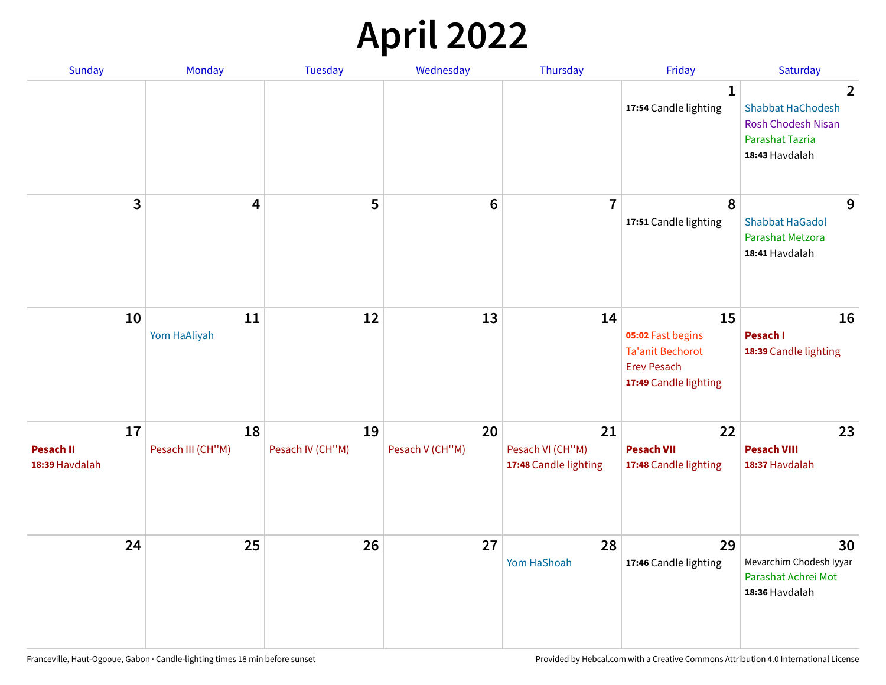## **April 2022**

| Sunday                                   | Monday                  | <b>Tuesday</b>         | Wednesday             | Thursday                                        | Friday                                                                                            | Saturday                                                                                                            |
|------------------------------------------|-------------------------|------------------------|-----------------------|-------------------------------------------------|---------------------------------------------------------------------------------------------------|---------------------------------------------------------------------------------------------------------------------|
|                                          |                         |                        |                       |                                                 | 1<br>17:54 Candle lighting                                                                        | $\overline{2}$<br><b>Shabbat HaChodesh</b><br><b>Rosh Chodesh Nisan</b><br><b>Parashat Tazria</b><br>18:43 Havdalah |
| 3                                        | $\overline{\mathbf{4}}$ | 5                      | $6\phantom{1}6$       | $\overline{7}$                                  | 8<br>17:51 Candle lighting                                                                        | 9<br><b>Shabbat HaGadol</b><br>Parashat Metzora<br>18:41 Havdalah                                                   |
| 10                                       | 11<br>Yom HaAliyah      | 12                     | 13                    | 14                                              | 15<br>05:02 Fast begins<br><b>Ta'anit Bechorot</b><br><b>Erev Pesach</b><br>17:49 Candle lighting | 16<br>Pesach I<br>18:39 Candle lighting                                                                             |
| 17<br><b>Pesach II</b><br>18:39 Havdalah | 18<br>Pesach III (CH"M) | 19<br>Pesach IV (CH"M) | 20<br>Pesach V (CH"M) | 21<br>Pesach VI (CH"M)<br>17:48 Candle lighting | 22<br><b>Pesach VII</b><br>17:48 Candle lighting                                                  | 23<br><b>Pesach VIII</b><br>18:37 Havdalah                                                                          |
| 24                                       | 25                      | 26                     | 27                    | 28<br>Yom HaShoah                               | 29<br>17:46 Candle lighting                                                                       | 30<br>Mevarchim Chodesh Iyyar<br>Parashat Achrei Mot<br>18:36 Havdalah                                              |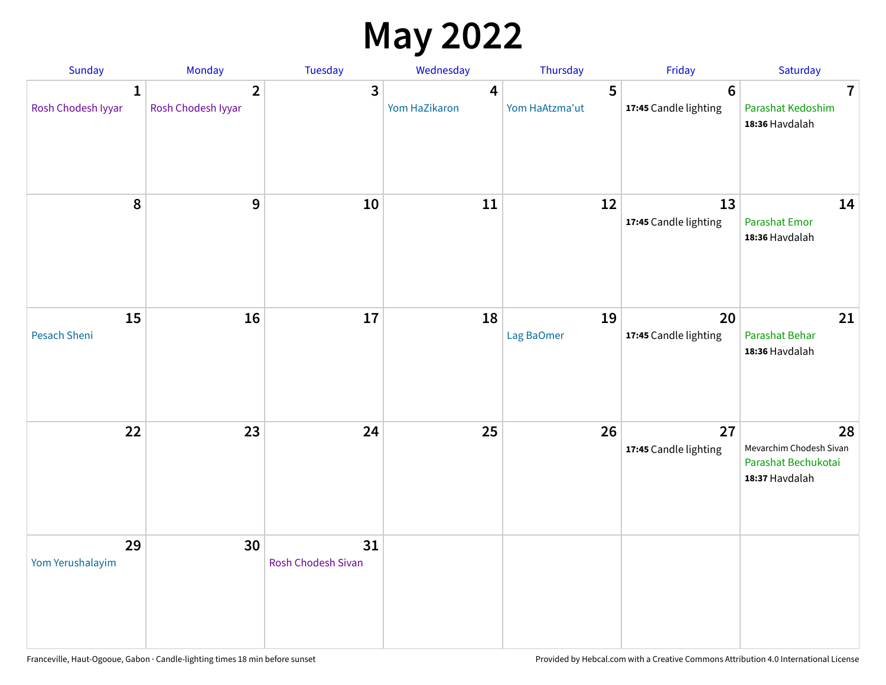## **May 2022**

| Sunday                             | Monday                               | Tuesday                  | Wednesday          | Thursday            | Friday                                   | Saturday                                                               |
|------------------------------------|--------------------------------------|--------------------------|--------------------|---------------------|------------------------------------------|------------------------------------------------------------------------|
| $\mathbf{1}$<br>Rosh Chodesh Iyyar | $\overline{2}$<br>Rosh Chodesh Iyyar | 3                        | 4<br>Yom HaZikaron | 5<br>Yom HaAtzma'ut | $6\phantom{1}6$<br>17:45 Candle lighting | $\overline{7}$<br>Parashat Kedoshim<br>18:36 Havdalah                  |
| $\pmb{8}$                          | $\mathbf{9}$                         | 10                       | 11                 | 12                  | 13<br>17:45 Candle lighting              | 14<br>Parashat Emor<br>18:36 Havdalah                                  |
| 15<br>Pesach Sheni                 | 16                                   | 17                       | 18                 | 19<br>Lag BaOmer    | 20<br>17:45 Candle lighting              | 21<br>Parashat Behar<br>18:36 Havdalah                                 |
| 22                                 | 23                                   | 24                       | 25                 | 26                  | 27<br>17:45 Candle lighting              | 28<br>Mevarchim Chodesh Sivan<br>Parashat Bechukotai<br>18:37 Havdalah |
| 29<br>Yom Yerushalayim             | 30                                   | 31<br>Rosh Chodesh Sivan |                    |                     |                                          |                                                                        |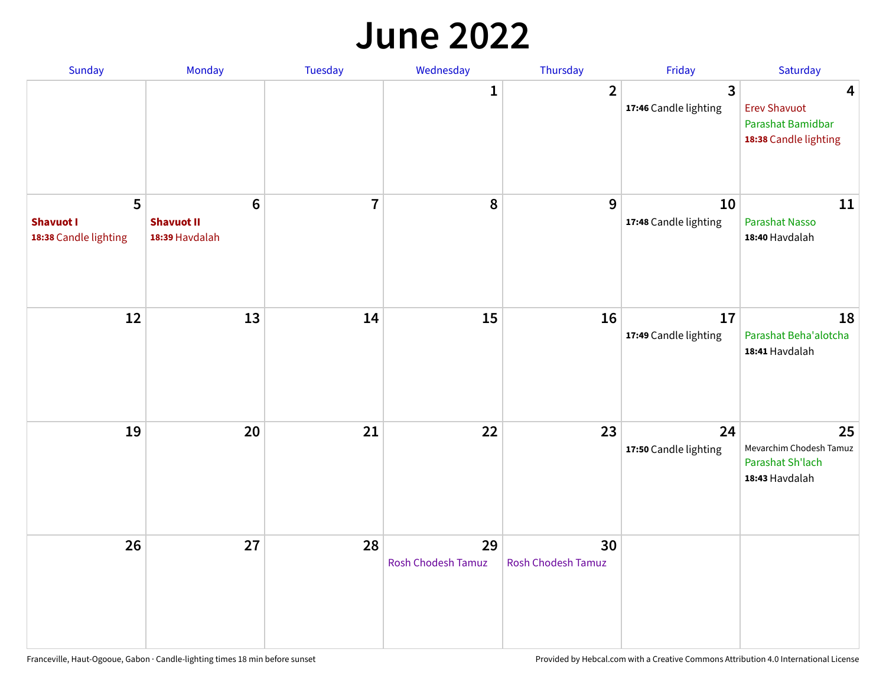#### **June 2022**

| Sunday                                         | Monday                                                | Tuesday        | Wednesday                       | Thursday                        | Friday                      | Saturday                                                               |
|------------------------------------------------|-------------------------------------------------------|----------------|---------------------------------|---------------------------------|-----------------------------|------------------------------------------------------------------------|
|                                                |                                                       |                | 1                               | $\overline{2}$                  | 3<br>17:46 Candle lighting  | 4<br><b>Erev Shavuot</b><br>Parashat Bamidbar<br>18:38 Candle lighting |
| 5<br><b>Shavuot I</b><br>18:38 Candle lighting | $6\phantom{1}$<br><b>Shavuot II</b><br>18:39 Havdalah | $\overline{7}$ | 8                               | 9                               | 10<br>17:48 Candle lighting | 11<br><b>Parashat Nasso</b><br>18:40 Havdalah                          |
| 12                                             | 13                                                    | 14             | 15                              | 16                              | 17<br>17:49 Candle lighting | 18<br>Parashat Beha'alotcha<br>18:41 Havdalah                          |
| 19                                             | 20                                                    | 21             | 22                              | 23                              | 24<br>17:50 Candle lighting | 25<br>Mevarchim Chodesh Tamuz<br>Parashat Sh'lach<br>18:43 Havdalah    |
| 26                                             | 27                                                    | 28             | 29<br><b>Rosh Chodesh Tamuz</b> | 30<br><b>Rosh Chodesh Tamuz</b> |                             |                                                                        |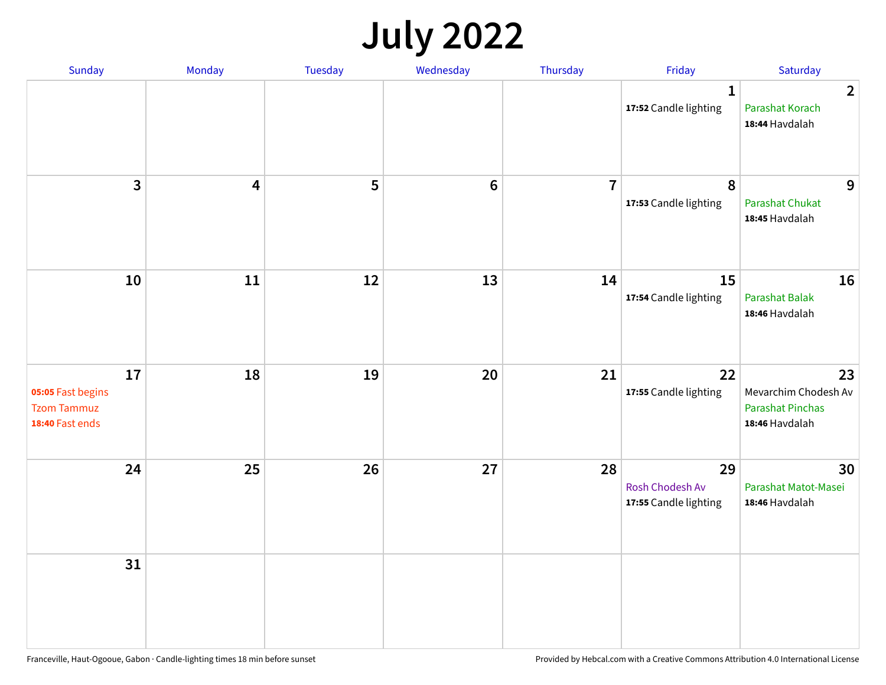## **July 2022**

| Sunday                                                           | Monday                  | Tuesday | Wednesday | Thursday       | Friday                                         | Saturday                                                                |
|------------------------------------------------------------------|-------------------------|---------|-----------|----------------|------------------------------------------------|-------------------------------------------------------------------------|
|                                                                  |                         |         |           |                | $\mathbf{1}$<br>17:52 Candle lighting          | $\overline{2}$<br>Parashat Korach<br>18:44 Havdalah                     |
| $\mathbf{3}$                                                     | $\overline{\mathbf{4}}$ | 5       | $\bf 6$   | $\overline{7}$ | $\pmb{8}$<br>17:53 Candle lighting             | 9<br>Parashat Chukat<br>18:45 Havdalah                                  |
| 10                                                               | 11                      | 12      | 13        | 14             | 15<br>17:54 Candle lighting                    | 16<br><b>Parashat Balak</b><br>18:46 Havdalah                           |
| 17<br>05:05 Fast begins<br><b>Tzom Tammuz</b><br>18:40 Fast ends | 18                      | 19      | 20        | 21             | 22<br>17:55 Candle lighting                    | 23<br>Mevarchim Chodesh Av<br><b>Parashat Pinchas</b><br>18:46 Havdalah |
| 24                                                               | 25                      | 26      | 27        | 28             | 29<br>Rosh Chodesh Av<br>17:55 Candle lighting | 30<br>Parashat Matot-Masei<br>18:46 Havdalah                            |
| 31                                                               |                         |         |           |                |                                                |                                                                         |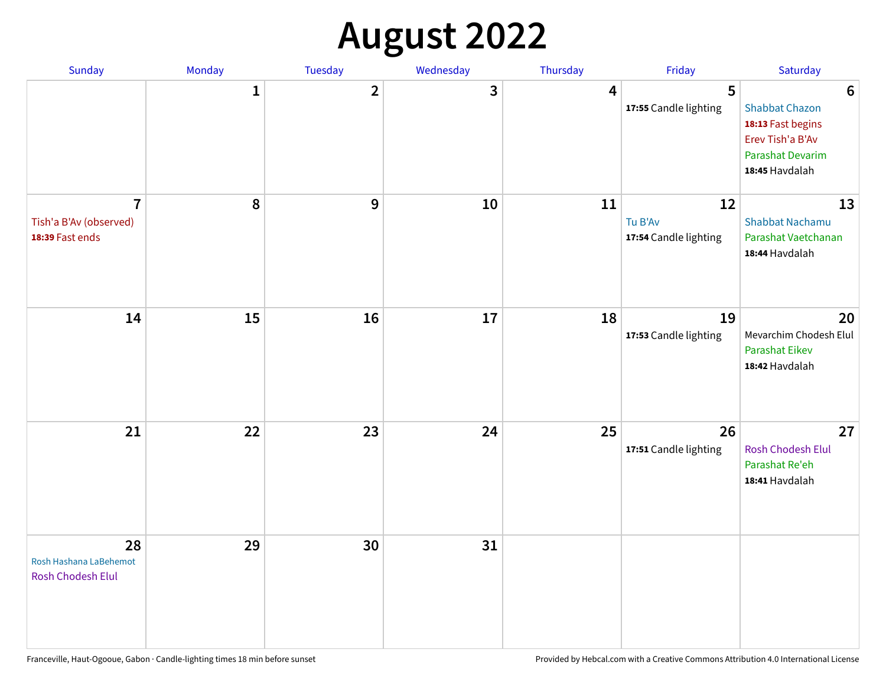## **August 2022**

| Sunday                                                      | Monday       | Tuesday      | Wednesday | Thursday | Friday                                 | Saturday                                                                                                                |
|-------------------------------------------------------------|--------------|--------------|-----------|----------|----------------------------------------|-------------------------------------------------------------------------------------------------------------------------|
|                                                             | $\mathbf{1}$ | $\mathbf{2}$ | 3         | 4        | 5<br>17:55 Candle lighting             | $6\phantom{1}6$<br><b>Shabbat Chazon</b><br>18:13 Fast begins<br>Erev Tish'a B'Av<br>Parashat Devarim<br>18:45 Havdalah |
| $\overline{7}$<br>Tish'a B'Av (observed)<br>18:39 Fast ends | 8            | 9            | 10        | 11       | 12<br>Tu B'Av<br>17:54 Candle lighting | 13<br><b>Shabbat Nachamu</b><br>Parashat Vaetchanan<br>18:44 Havdalah                                                   |
| 14                                                          | 15           | 16           | 17        | 18       | 19<br>17:53 Candle lighting            | 20<br>Mevarchim Chodesh Elul<br>Parashat Eikev<br>18:42 Havdalah                                                        |
| 21                                                          | 22           | 23           | 24        | 25       | 26<br>17:51 Candle lighting            | 27<br>Rosh Chodesh Elul<br>Parashat Re'eh<br>18:41 Havdalah                                                             |
| 28<br>Rosh Hashana LaBehemot<br>Rosh Chodesh Elul           | 29           | 30           | 31        |          |                                        |                                                                                                                         |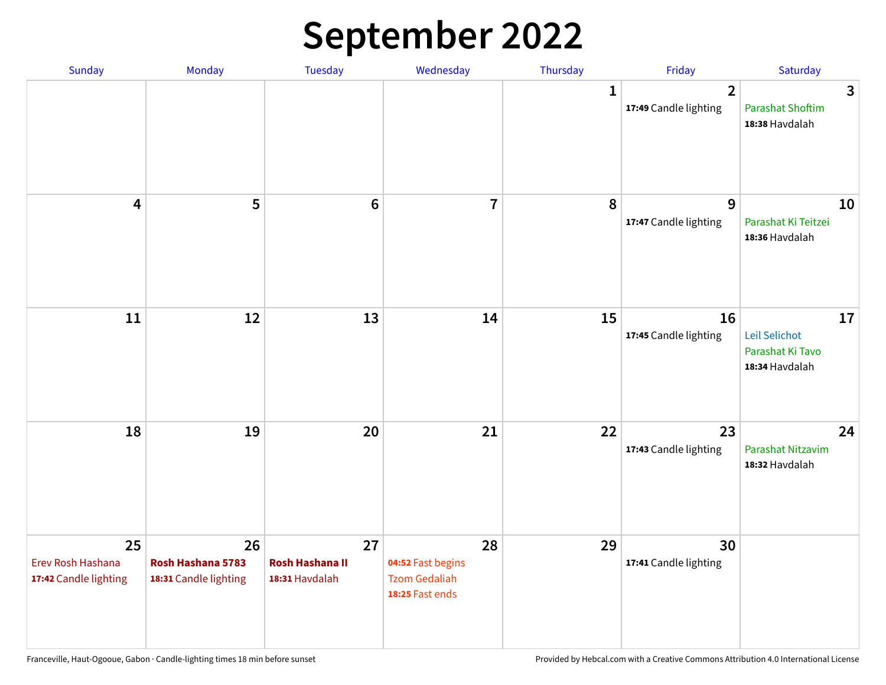## **September 2022**

| Sunday                                           | Monday                                           | Tuesday                                        | Wednesday                                                          | Thursday     | Friday                                  | Saturday                                                  |
|--------------------------------------------------|--------------------------------------------------|------------------------------------------------|--------------------------------------------------------------------|--------------|-----------------------------------------|-----------------------------------------------------------|
|                                                  |                                                  |                                                |                                                                    | $\mathbf{1}$ | $\overline{2}$<br>17:49 Candle lighting | 3<br><b>Parashat Shoftim</b><br>18:38 Havdalah            |
| $\overline{\mathbf{4}}$                          | 5                                                | $6\phantom{1}6$                                | $\overline{7}$                                                     | 8            | 9<br>17:47 Candle lighting              | 10<br>Parashat Ki Teitzei<br>18:36 Havdalah               |
| 11                                               | 12                                               | 13                                             | 14                                                                 | 15           | 16<br>17:45 Candle lighting             | 17<br>Leil Selichot<br>Parashat Ki Tavo<br>18:34 Havdalah |
| 18                                               | 19                                               | 20                                             | 21                                                                 | 22           | 23<br>17:43 Candle lighting             | 24<br>Parashat Nitzavim<br>18:32 Havdalah                 |
| 25<br>Erev Rosh Hashana<br>17:42 Candle lighting | 26<br>Rosh Hashana 5783<br>18:31 Candle lighting | 27<br><b>Rosh Hashana II</b><br>18:31 Havdalah | 28<br>04:52 Fast begins<br><b>Tzom Gedaliah</b><br>18:25 Fast ends | 29           | 30<br>17:41 Candle lighting             |                                                           |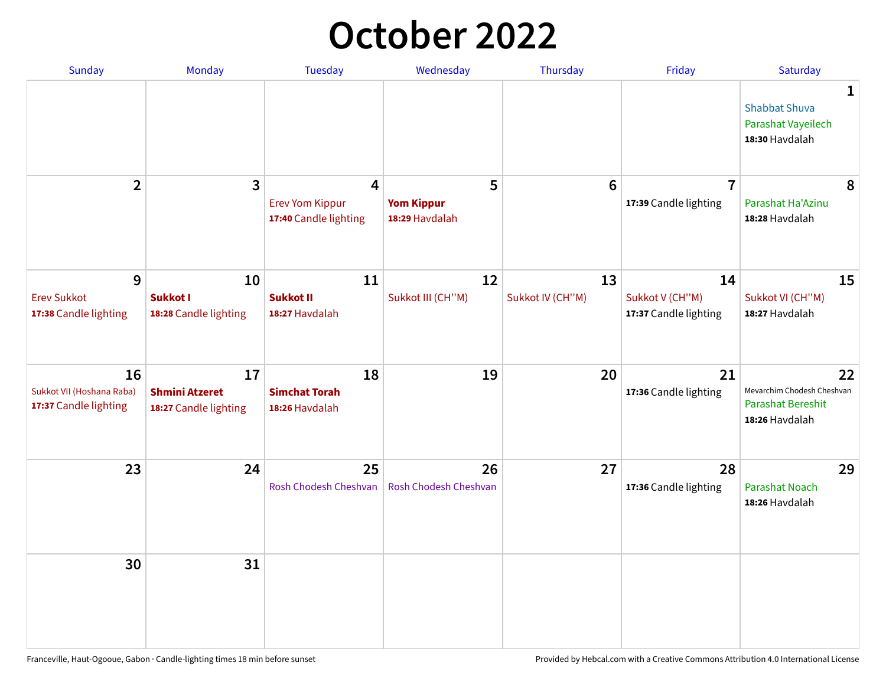## **October 2022**

| Sunday                                                   | Monday                                               | <b>Tuesday</b>                                                    | Wednesday                                | Thursday               | Friday                                         | Saturday                                                                       |
|----------------------------------------------------------|------------------------------------------------------|-------------------------------------------------------------------|------------------------------------------|------------------------|------------------------------------------------|--------------------------------------------------------------------------------|
|                                                          |                                                      |                                                                   |                                          |                        |                                                | 1<br><b>Shabbat Shuva</b><br>Parashat Vayeilech<br>18:30 Havdalah              |
| $\overline{2}$                                           | $\overline{3}$                                       | $\overline{4}$<br><b>Erev Yom Kippur</b><br>17:40 Candle lighting | 5<br><b>Yom Kippur</b><br>18:29 Havdalah | $6\phantom{1}6$        | $\overline{7}$<br>17:39 Candle lighting        | 8<br>Parashat Ha'Azinu<br>18:28 Havdalah                                       |
| 9<br><b>Erev Sukkot</b><br>17:38 Candle lighting         | 10<br><b>Sukkot I</b><br>18:28 Candle lighting       | 11<br><b>Sukkot II</b><br>18:27 Havdalah                          | 12<br>Sukkot III (CH"M)                  | 13<br>Sukkot IV (CH"M) | 14<br>Sukkot V (CH"M)<br>17:37 Candle lighting | 15<br>Sukkot VI (CH"M)<br>18:27 Havdalah                                       |
| 16<br>Sukkot VII (Hoshana Raba)<br>17:37 Candle lighting | 17<br><b>Shmini Atzeret</b><br>18:27 Candle lighting | 18<br><b>Simchat Torah</b><br>18:26 Havdalah                      | 19                                       | 20                     | 21<br>17:36 Candle lighting                    | 22<br>Mevarchim Chodesh Cheshvan<br><b>Parashat Bereshit</b><br>18:26 Havdalah |
| 23                                                       | 24                                                   | 25<br>Rosh Chodesh Cheshvan                                       | 26<br>Rosh Chodesh Cheshvan              | 27                     | 28<br>17:36 Candle lighting                    | 29<br><b>Parashat Noach</b><br>18:26 Havdalah                                  |
| 30                                                       | 31                                                   |                                                                   |                                          |                        |                                                |                                                                                |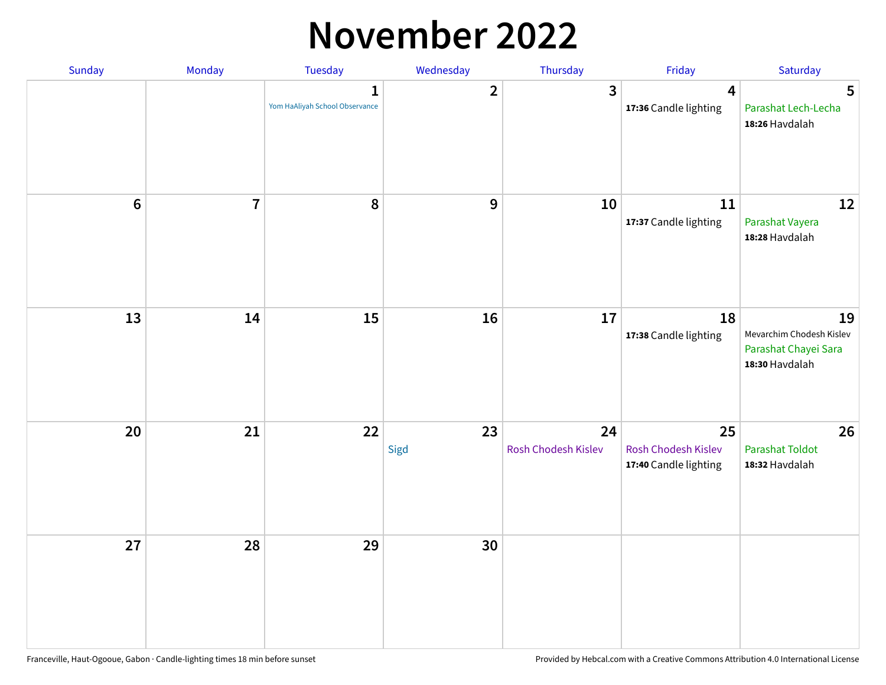## **November 2022**

| Sunday  | Monday         | <b>Tuesday</b>                                 | Wednesday      | Thursday                  | Friday                                             | Saturday                                                                 |
|---------|----------------|------------------------------------------------|----------------|---------------------------|----------------------------------------------------|--------------------------------------------------------------------------|
|         |                | $\mathbf{1}$<br>Yom HaAliyah School Observance | $\overline{2}$ | 3                         | $\overline{\mathbf{4}}$<br>17:36 Candle lighting   | 5<br>Parashat Lech-Lecha<br>18:26 Havdalah                               |
| $\bf 6$ | $\overline{7}$ | 8                                              | 9              | 10                        | 11<br>17:37 Candle lighting                        | 12<br>Parashat Vayera<br>18:28 Havdalah                                  |
| 13      | 14             | 15                                             | 16             | 17                        | 18<br>17:38 Candle lighting                        | 19<br>Mevarchim Chodesh Kislev<br>Parashat Chayei Sara<br>18:30 Havdalah |
| 20      | 21             | 22                                             | 23<br>Sigd     | 24<br>Rosh Chodesh Kislev | 25<br>Rosh Chodesh Kislev<br>17:40 Candle lighting | 26<br><b>Parashat Toldot</b><br>18:32 Havdalah                           |
| 27      | 28             | 29                                             | 30             |                           |                                                    |                                                                          |